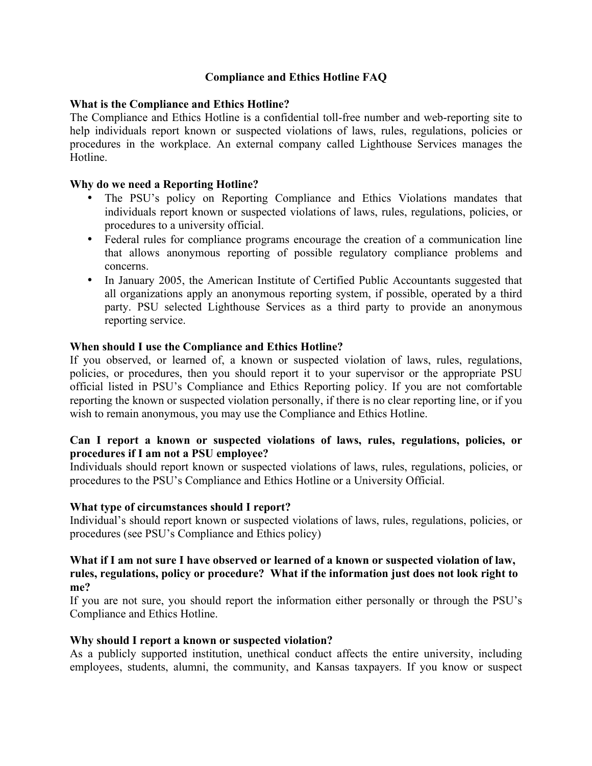# **Compliance and Ethics Hotline FAQ**

# **What is the Compliance and Ethics Hotline?**

The Compliance and Ethics Hotline is a confidential toll-free number and web-reporting site to help individuals report known or suspected violations of laws, rules, regulations, policies or procedures in the workplace. An external company called Lighthouse Services manages the Hotline.

# **Why do we need a Reporting Hotline?**

- The PSU's policy on Reporting Compliance and Ethics Violations mandates that individuals report known or suspected violations of laws, rules, regulations, policies, or procedures to a university official.
- Federal rules for compliance programs encourage the creation of a communication line that allows anonymous reporting of possible regulatory compliance problems and concerns.
- In January 2005, the American Institute of Certified Public Accountants suggested that all organizations apply an anonymous reporting system, if possible, operated by a third party. PSU selected Lighthouse Services as a third party to provide an anonymous reporting service.

# **When should I use the Compliance and Ethics Hotline?**

If you observed, or learned of, a known or suspected violation of laws, rules, regulations, policies, or procedures, then you should report it to your supervisor or the appropriate PSU official listed in PSU's Compliance and Ethics Reporting policy. If you are not comfortable reporting the known or suspected violation personally, if there is no clear reporting line, or if you wish to remain anonymous, you may use the Compliance and Ethics Hotline.

# **Can I report a known or suspected violations of laws, rules, regulations, policies, or procedures if I am not a PSU employee?**

Individuals should report known or suspected violations of laws, rules, regulations, policies, or procedures to the PSU's Compliance and Ethics Hotline or a University Official.

### **What type of circumstances should I report?**

Individual's should report known or suspected violations of laws, rules, regulations, policies, or procedures (see PSU's Compliance and Ethics policy)

#### **What if I am not sure I have observed or learned of a known or suspected violation of law, rules, regulations, policy or procedure? What if the information just does not look right to me?**

If you are not sure, you should report the information either personally or through the PSU's Compliance and Ethics Hotline.

### **Why should I report a known or suspected violation?**

As a publicly supported institution, unethical conduct affects the entire university, including employees, students, alumni, the community, and Kansas taxpayers. If you know or suspect